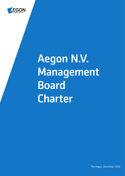

# Aegon N.V. Management Board Charter

The Hague, December 2020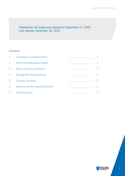### Adopted by the Supervisory Board on September 23, 2009 Last revision: December 18, 2020

## **Contents**

|                  | Composition and Appointment         |               |
|------------------|-------------------------------------|---------------|
| 2.               | Role of the Management Board        |               |
| $\overline{3}$ . | Role of the Executive Board         | $\mathcal{A}$ |
| 4.               | Management Board meetings           | 4             |
| 5.               | <b>Company Secretary</b>            |               |
| 6.               | Relation with the Supervisory Board |               |
|                  | <b>Other Provisions</b>             |               |

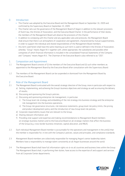#### 0. Introduction

- This Charter was adopted by the Executive Board and the Management Board on September 16, 2009 and confirmed by the Supervisory Board on September 23, 2009.
- This Charter sets out the governance of the Management Board of Aegon in addition to the relevant provisions of Dutch law, the Articles of Association, and the Executive Board Charter. In the performance of their duties, the members of the Management Board will observe the provisions of this Charter.
- In addition to complying with this Charter and any applicable rules and protocols, the Management Board shall ensure that there is an atmosphere of cooperation and agreement, characterized by mutual supportiveness, in order to support the individual and shared responsibilities of the Management Board members.
- Any term used herein shall have the same meaning as such term is used or defined in the Articles of Association, whereby: "Group" means Aegon N.V. together with, where appropriate, the subsidiaries and possible other companies of which financial information is included in the consolidated Financial Statements of the Company and "Company" means Aegon N.V.. The Chairman of the Executive Board is also referred to as "CEO".

#### 1. Composition and Appointment

- 1.1 The Management Board consists of (i) the members of the Executive Board and (ii) such other members as appointed to the Management Board by the Executive Board after consultation with the Supervisory Board.
- 1.2 The members of the Management Board can be suspended or dismissed from the Management Board by the Executive Board.

#### 2 Role of the Management Board

- 2.1 The Management Board is entrusted with the overall strategic direction of the Group, more in particular with respect to:
	- a) Setting, implementing, and achieving the Group's business objectives and strategy as well as ensuring the delivery of results;
	- b) Discussing and sponsoring the Group's policies;
	- c) Discussing and sponsoring enterprise risk management, in particular:
		- i) The Group level risk strategy and embedding of the risk strategy into business strategy and the enterprise risk management into the business operations;
		- ii) The Group risk governance structures, risk tolerance statements, group level risk policy limits, the pricing and product development policy and the introduction of new Group level risk policies;
	- d) Corporate responsibility issues that are relevant to the Group;
	- e) Sharing relevant information; and
	- f) Providing vital support and expertise and making recommendations to Management Board members on strategic business matters and to the Executive Board on all strategic matters that affect the business of the Group (e.g. cross-border business initiatives; capital allocation, and M&A).
- 2.2 Each individual Management Board member is accountable for the operations and management in the unit(s) that the member is responsible for, in line with the Company's policies, values and principles, and compliance standards.
- 2.3 Management Board members are collectively responsible for managing Aegon's senior leadership talent. Members have a responsibility to manage talent consistently at all Aegon businesses around the world.
- 2.4 The Management Board shall have full information rights vis-à-vis all countries and business lines within the Group. The Management Board shall, in performing their duties, have access to the expertise of and support and services from all Corporate Center departments.

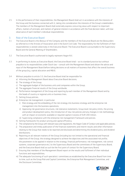2.5 In the performance of their responsibilities, the Management Board shall act in accordance with the interests of the Group and the business connected with it, taking into consideration the interests of the Group's stakeholders. The members of the Management Board shall externally express concurring views with respect to important affairs, matters of principle, and matters of general interest in accordance with the final decision taken, with due observance of each member's individual responsibilities.

#### 3. Role of the Executive Board

- 3.1 The Executive Board is the *Bestuur* of the Company and the members of the Executive Board are the *Bestuurders* as referred to in the Articles of Association and in the Dutch Civil Code. The responsibility for the fulfilment of their responsibilities is vested collectively in the Executive Board. The Executive Board is accountable to the Supervisory Board and the General Meeting of Shareholders.
- 3.2 The Executive Board is authorized to legally represent Aegon N.V..
- 3.3 In performing its duties as Executive Board, the Executive Board shall as its standard practice but without prejudice to its responsibilities under Dutch law – consult with the Management Board and obtain the advice and input of the Management Board before taking decisions on all matters of business that affect the overall business of the group (e.g. capital allocation and M&A).
- 3.4 Without prejudice to article 3.3, the Executive Board shall be responsible for:
	- a) Informing the Management Board about Executive Board decisions;
	- b) The strategy of the Group;
	- c) The aggregate budget of the business units and companies within the Group;
	- d) The aggregate financial results of the Group worldwide;
	- e) Performance management of the Group and reporting by each member of the Management Board and by the heads of country or regional units or business lines;
	- f) Setting Group policies;
	- g) Enterprise risk management, in particular:
		- i) Risk strategy and the embedding of the risk strategy into business strategy and the enterprise risk management into the business operations;
		- ii) Approving risk governance structures, risk tolerance statements, Group level risk policy limits, the pricing and product development policy, the introduction of new risk policies and any changes in risk methodology with an impact on economic available or required capital in excess of EUR 200 million;
		- iii) Supervising compliance with the enterprise risk management framework and policies.
	- h) Setting frameworks for product pricing and capital efficiency;
	- i) The compliance by the Group with relevant laws and regulations, the Aegon Code of Conduct and applicable policies;
	- j) The preparation and timely publication of the financial statements and interim results and other information relating to the Group that needs to be reported and disclosed and determining the dividend policy and dividend distributions;
	- k) Reporting on all relevant matters of the Group (including but not limited to the operational and financial objectives of the Group, the strategy designed to achieve the objectives and the associated risk profile, the parameters to be applied in relation to the strategy, financial performance, risk management, risk control systems, corporate governance etc.) to the Supervisory Board and the committees of the Supervisory Board, and the Executive Board shall as such be the first point of contact for the Supervisory Board;
	- l) Ensuring that members of the Management Board report on the results and fulfilment of their individual functions and responsibilities;
	- m) The adequate functioning of such specialists' committees as established by the Executive Board from time to time, such as the Group Risk and Capital Committee, the Enterprise Risk Management Committee, and the Disclosure Committee;

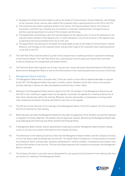- n) Managing the Global Functional Heads as well as the Heads of Communication, Investor Relations, and Strategy of the Corporate Center, and any other Head of the Corporate Center reporting directly to the CEO or the CFO;
- o) The resolutions and matters expressly vested in this Charter, the Executive Board Charter, the Articles of Association, and Dutch law, including, but not limited to, its decision-making process, the legal structure, and the corporate governance structure of the Company and the Group;
- p) The appointment and dismissal, upon the recommendation of the regional units, of any of the executive or nonexecutive board members of the regional units, or other individuals in any of the functions in the regional units, as defined by the Executive Board from time to time; and
- q) The appointment and dismissal of all Global Functional Heads as well as the Heads of Communication, Investor Relations, and Strategy of the Corporate Center, and any other Head of the Corporate Center reporting directly to the CEO or the CFO.
- 3.5 The Chief Risk Officer and the General Counsel of the Company have a standing invitation to attend the meetings of the Executive Board. The Chief Risk Officer has a reporting line into the Supervisory Board Risk Committee to discuss enterprise risk management and related matters.
- 3.6 The Executive Board shall regularly, but at least once per year, review and assess the performance of the Executive Board and the Management Board, as well as the effectiveness of the corporate governance structure of the Group.

#### 4. Management Board meetings

- 4.1 The Management Board shall in principle meet 2 times per month or more often as deemed desirable or required by the CEO. The Management Board may meet in smaller subsets. Members will do their utmost to be present at these meetings in person, by video and telephone conferencing, or other media.
- 4.2 Meetings of the Management Board shall be called by the CEO. All members of the Management Board may ask the CEO to call a meeting or suggest topics for the agenda. In principle, the agenda for a meeting shall be sent at least three calendar days before the meeting. Whenever relevant and possible, an explanation in writing and/or other related documentation should be attached for each item on the agenda.
- 4.3 The CEO acts as the Chairman of the meetings of the Management Board. If the CEO is absent, the CEO will appoint the CFO as Chairman for that meeting.
- 4.4 Before decisions are made, the Management Board not only seeks the agreement of the members, but also the resolution or mitigation of minority objections. All members have an equal vote, however, decisions by the Management Board need to be endorsed by the Chief Executive Officer and the Chief Financial Officer.
- 4.5 A Management Board member may be represented at meetings by another Management Board member holding a proxy in writing or by a verbal confirmation to the Company Secretary.
- 4.6 The admittance to the meeting of persons other than the Management Board members and the Company Secretary or his or her deputy shall be decided upon by the CEO. The Global Head of Compliance is invited quarterly to present the compliance report covering major regulatory developments, material incidents, investigations and integrity risks and the effectiveness of the function. The Executive Board approves the Compliance Annual plan; the Management Board is informed.
- 4.7 The Company Secretary or any other person designated for such purpose by the Chairman of the meeting shall draw up minutes of a meeting of the Management Board.